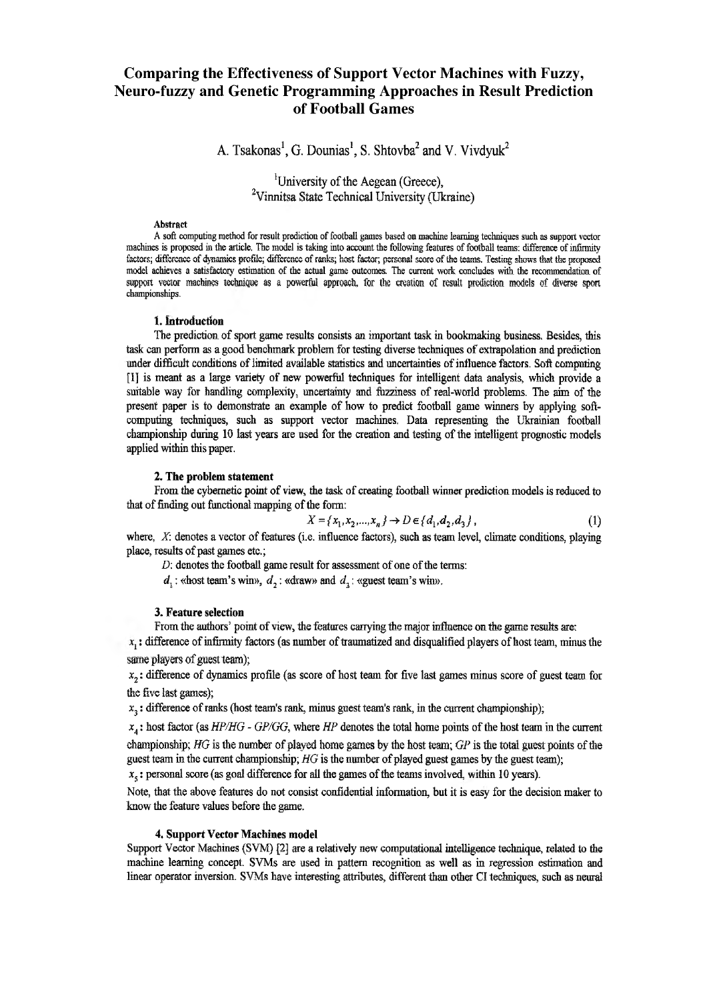# **Comparing the Effectiveness of Support Vector Machines with Fuzzy, Neuro-fuzzy and Genetic Programming Approaches in Result Prediction of Football Games**

A. Tsakonas<sup>1</sup>, G. Dounias<sup>1</sup>, S. Shtovba<sup>2</sup> and V. Vivdyuk<sup>2</sup>

<sup>1</sup>University of the Aegean (Greece), <sup>2</sup>Vinnitsa State Technical University (Ukraine)

#### **Abstract**

**A soft computing method for result prediction of football games based on machine learning techniques such as support vector machines is proposed in the article. The model is taking into account the following features of football teams: difference of infirmity factors; difference of dynamics profile; difference of ranks; host factor; personal score of the teams. Testing shows that the proposed** model achieves a satisfactory estimation of the actual game outcomes. The current work concludes with the recommendation of support vector machines technique as a powerful approach, for the creation of result prediction models of diverse sport **championships.**

## **1. Introduction**

The prediction of sport game results consists an important task in bookmaking business, Besides, this task can perform as a good benchmark problem for testing diverse techniques of extrapolation and prediction under difficult conditions of limited available statistics and uncertainties of influence factors. Soft computing [1] is meant as a large variety of new powerful techniques for intelligent data analysis, which provide a suitable way for handling complexity, uncertainty and fuzziness of real-world problems. The aim of the present paper is to demonstrate an example of how to predict football game winners by applying softcomputing techniques, such as support vector machines. Data representing the Ukrainian football championship during 10 last years are used for the creation and testing of the intelligent prognostic models applied within this paper.

## **2. The problem statement**

From the cybernetic point of view, the task of creating football winner prediction models is reduced to that of finding out functional mapping of the form;

$$
X = \{x_1, x_2, ..., x_n\} \to D \in \{d_1, d_2, d_3\},\tag{1}
$$

where, *X*: denotes a vector of features (i.e. influence factors), such as team level, climate conditions, playing place, results of past games etc.;

*D:* denotes the football game result for assessment of one of the terms:

 $d_1$ : «host team's win»,  $d_2$ : «draw» and  $d_2$ : «guest team's win».

#### **3. Feature selection**

From the authors' point of view, the features carrying the major influence on the game results are;

 $x<sub>i</sub>$ : difference of infirmity factors (as number of traumatized and disqualified players of host team, minus the **same** play **ers** of **guest** team);

 $x<sub>2</sub>$ : difference of dynamics profile (as score of host team for five last games minus score of guest team for the five last games);

 $x<sub>3</sub>$ : difference of ranks (host team's rank, minus guest team's rank, in the current championship);

*x*4: host factor (as *HP/HG* - *GP/GG*, where *HP* denotes the total home points of the host team in the current championship; *HG* is the number of played home games by the host team; *GP* is the total guest points of the guest team in the current championship; *HG* is the number of played guest games by the guest team);  $x<sub>s</sub>$ : personal score (as goal difference for all the games of the teams involved, within 10 years).

Note, that the above features do not consist confidential information, but it is easy for the decision maker to know the feature values before the game.

#### **4. Support Vector Machines model**

Support Vector Machines (SVM) [2] are a relatively new computational intelligence technique, related to the machine learning concept. SVMs are used in pattern recognition as well as in regression estimation and linear operator inversion. SVMs have interesting attributes, different than other Cl techniques, such as neural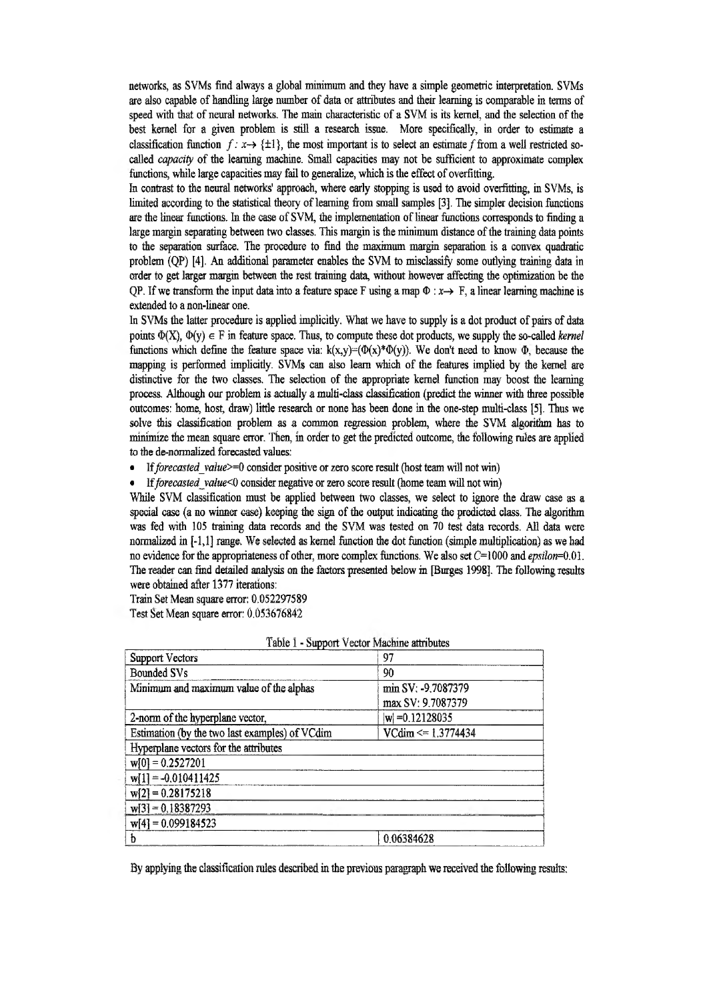networks, as SVMs find always a global minimum and they have a simple geometric interpretation. SVMs are also capable of handling large number of data or attributes and their learning is comparable in terms of speed with that of neural networks. The main characteristic of a SVM is its kernel, and the selection of the best kernel for a given problem is still a research issue. More specifically, in order to estimate a classification function  $f: x \rightarrow \{\pm 1\}$ , the most important is to select an estimate f from a well restricted socalled *capacity* of the learning machine. Small capacities may not be sufficient to approximate complex functions, while large capacities may fail to generalize, which is the effect of overfitting,

In contrast to the neural networks' approach, where early stopping is used to avoid overfitting, in SVMs, is limited according to the statistical theory of learning from small samples [3]. The simpler decision functions are the linear functions. In the case of SVM, Hie implementation of linear functions corresponds to finding a large margin separating between two classes. This margin is the minimum distance of the training data points to the separation surface. The procedure to find the maximum margin separation is a convex quadratic problem (QP) [4]. An additional parameter enables the SVM to misclassify some outlying training data in order to get larger margin between the rest training date, without however affecting the optimization be the QP. If we transform the input data into a feature space F using a map  $\Phi$  :  $x \rightarrow$  F, a linear learning machine is extended to a non-linear one.

In SVMs the latter procedure is applied implicitly. What we have to supply is a dot product of pairs of data points  $\Phi(X)$ ,  $\Phi(y) \in F$  in feature space. Thus, to compute these dot products, we supply the so-called *kernel* functions which define the feature space via:  $k(x,y)=(\Phi(x)^*\Phi(y))$ . We don't need to know  $\Phi$ , because the mapping is performed implicitly. SVMs can also learn which of the features implied by the kernel are distinctive for the two classes. The selection of the appropriate kernel function may boost the learning process. Although our problem is actually a multi-class classification (predict the winner with three possible outcomes: home, host, draw) little research or none has been done in the one-step multi-class [5]. Thus we solve this classification problem as a common regression problem, where the SVM algorithm has to minimize the mean square error. Then, in order to get the predicted outcome, the following rules are applied to the de-normalized forecasted values:

• If forecasted value>=0 consider positive or zero score result (host team will not win)

\* If *forecosted jalue<0* consider negative or zero score result (home team will not win)

While SVM classification must be applied between two classes, we select to ignore the draw case as a special case (a no winner case) keeping the sign of the output indicating the predicted class. The algorithm was fed with 105 training data records and the SVM was tested on 70 test data records. All data were normalized in [-1,1] range, We selected as kernel function the dot function (simple multiplication) as we had no evidence for the appropriateness of other, more complex functions. We also set  $C=1000$  and *epsilon*=0.01. The reader can find detailed analysis on the factors presented below in [Burges 1998]. The following results were obtained after 1377 iterations:

Train Set Mean square error: 0,052297589

Test Set Mean square error: 0.053676842

| Support Vectors                                | 97                    |
|------------------------------------------------|-----------------------|
| <b>Bounded SVs</b>                             | 90                    |
| Minimum and maximum value of the alphas        | min SV: -9.7087379    |
|                                                | max SV: 9.7087379     |
| 2-norm of the hyperplane vector,               | $ w $ = 0.12128035    |
| Estimation (by the two last examples) of VCdim | $VCdim \le 1.3774434$ |
| Hyperplane vectors for the attributes          |                       |
| $w[0] = 0.2527201$                             |                       |
| $w[1] = -0.010411425$                          |                       |
| $w[2] = 0.28175218$                            |                       |
| $w[3] = 0.18387293$                            |                       |
| $w[4] = 0.099184523$                           |                       |
| b                                              | 0.06384628            |

| Table 1 - Support Vector Machine attributes |  |
|---------------------------------------------|--|
|---------------------------------------------|--|

By applying the classification rales described in the previous paragraph we received the following results: